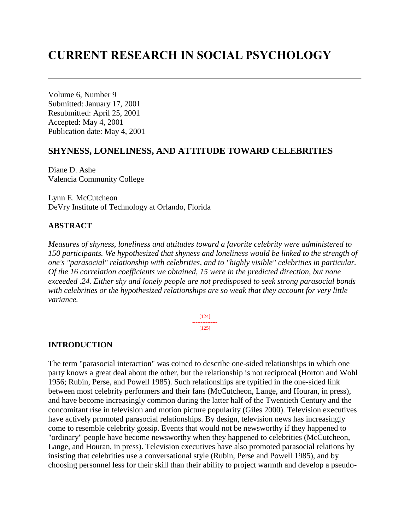# **CURRENT RESEARCH IN SOCIAL PSYCHOLOGY**

Volume 6, Number 9 Submitted: January 17, 2001 Resubmitted: April 25, 2001 Accepted: May 4, 2001 Publication date: May 4, 2001

## **SHYNESS, LONELINESS, AND ATTITUDE TOWARD CELEBRITIES**

Diane D. Ashe Valencia Community College

Lynn E. McCutcheon DeVry Institute of Technology at Orlando, Florida

#### **ABSTRACT**

*Measures of shyness, loneliness and attitudes toward a favorite celebrity were administered to 150 participants. We hypothesized that shyness and loneliness would be linked to the strength of one's "parasocial" relationship with celebrities, and to "highly visible" celebrities in particular. Of the 16 correlation coefficients we obtained, 15 were in the predicted direction, but none exceeded .24. Either shy and lonely people are not predisposed to seek strong parasocial bonds with celebrities or the hypothesized relationships are so weak that they account for very little variance.* 

> [124] --------------- [125]

#### **INTRODUCTION**

The term "parasocial interaction" was coined to describe one-sided relationships in which one party knows a great deal about the other, but the relationship is not reciprocal (Horton and Wohl 1956; Rubin, Perse, and Powell 1985). Such relationships are typified in the one-sided link between most celebrity performers and their fans (McCutcheon, Lange, and Houran, in press), and have become increasingly common during the latter half of the Twentieth Century and the concomitant rise in television and motion picture popularity (Giles 2000). Television executives have actively promoted parasocial relationships. By design, television news has increasingly come to resemble celebrity gossip. Events that would not be newsworthy if they happened to "ordinary" people have become newsworthy when they happened to celebrities (McCutcheon, Lange, and Houran, in press). Television executives have also promoted parasocial relations by insisting that celebrities use a conversational style (Rubin, Perse and Powell 1985), and by choosing personnel less for their skill than their ability to project warmth and develop a pseudo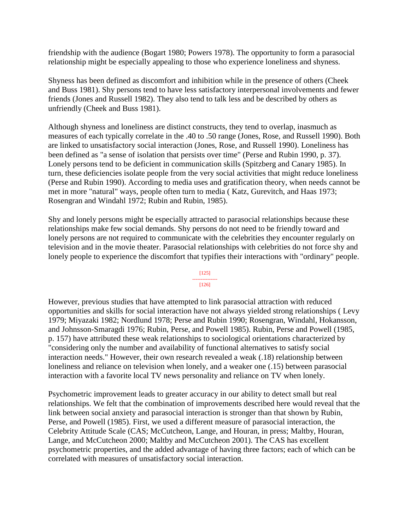friendship with the audience (Bogart 1980; Powers 1978). The opportunity to form a parasocial relationship might be especially appealing to those who experience loneliness and shyness.

Shyness has been defined as discomfort and inhibition while in the presence of others (Cheek and Buss 1981). Shy persons tend to have less satisfactory interpersonal involvements and fewer friends (Jones and Russell 1982). They also tend to talk less and be described by others as unfriendly (Cheek and Buss 1981).

Although shyness and loneliness are distinct constructs, they tend to overlap, inasmuch as measures of each typically correlate in the .40 to .50 range (Jones, Rose, and Russell 1990). Both are linked to unsatisfactory social interaction (Jones, Rose, and Russell 1990). Loneliness has been defined as "a sense of isolation that persists over time" (Perse and Rubin 1990, p. 37). Lonely persons tend to be deficient in communication skills (Spitzberg and Canary 1985). In turn, these deficiencies isolate people from the very social activities that might reduce loneliness (Perse and Rubin 1990). According to media uses and gratification theory, when needs cannot be met in more "natural" ways, people often turn to media ( Katz, Gurevitch, and Haas 1973; Rosengran and Windahl 1972; Rubin and Rubin, 1985).

Shy and lonely persons might be especially attracted to parasocial relationships because these relationships make few social demands. Shy persons do not need to be friendly toward and lonely persons are not required to communicate with the celebrities they encounter regularly on television and in the movie theater. Parasocial relationships with celebrities do not force shy and lonely people to experience the discomfort that typifies their interactions with "ordinary" people.

> [125] --------------- [126]

However, previous studies that have attempted to link parasocial attraction with reduced opportunities and skills for social interaction have not always yielded strong relationships ( Levy 1979; Miyazaki 1982; Nordlund 1978; Perse and Rubin 1990; Rosengran, Windahl, Hokansson, and Johnsson-Smaragdi 1976; Rubin, Perse, and Powell 1985). Rubin, Perse and Powell (1985, p. 157) have attributed these weak relationships to sociological orientations characterized by "considering only the number and availability of functional alternatives to satisfy social interaction needs." However, their own research revealed a weak (.18) relationship between loneliness and reliance on television when lonely, and a weaker one (.15) between parasocial interaction with a favorite local TV news personality and reliance on TV when lonely.

Psychometric improvement leads to greater accuracy in our ability to detect small but real relationships. We felt that the combination of improvements described here would reveal that the link between social anxiety and parasocial interaction is stronger than that shown by Rubin, Perse, and Powell (1985). First, we used a different measure of parasocial interaction, the Celebrity Attitude Scale (CAS; McCutcheon, Lange, and Houran, in press; Maltby, Houran, Lange, and McCutcheon 2000; Maltby and McCutcheon 2001). The CAS has excellent psychometric properties, and the added advantage of having three factors; each of which can be correlated with measures of unsatisfactory social interaction.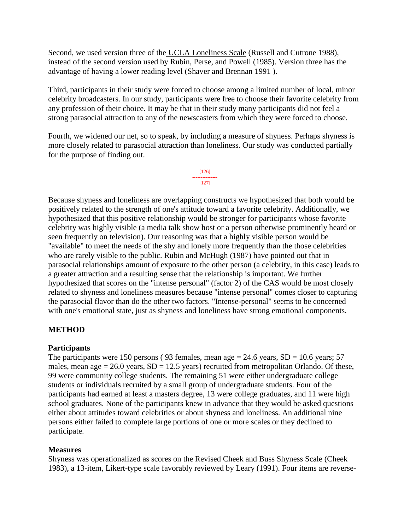Second, we used version three of the UCLA Loneliness Scale (Russell and Cutrone 1988), instead of the second version used by Rubin, Perse, and Powell (1985). Version three has the advantage of having a lower reading level (Shaver and Brennan 1991 ).

Third, participants in their study were forced to choose among a limited number of local, minor celebrity broadcasters. In our study, participants were free to choose their favorite celebrity from any profession of their choice. It may be that in their study many participants did not feel a strong parasocial attraction to any of the newscasters from which they were forced to choose.

Fourth, we widened our net, so to speak, by including a measure of shyness. Perhaps shyness is more closely related to parasocial attraction than loneliness. Our study was conducted partially for the purpose of finding out.



Because shyness and loneliness are overlapping constructs we hypothesized that both would be positively related to the strength of one's attitude toward a favorite celebrity. Additionally, we hypothesized that this positive relationship would be stronger for participants whose favorite celebrity was highly visible (a media talk show host or a person otherwise prominently heard or seen frequently on television). Our reasoning was that a highly visible person would be "available" to meet the needs of the shy and lonely more frequently than the those celebrities who are rarely visible to the public. Rubin and McHugh (1987) have pointed out that in parasocial relationships amount of exposure to the other person (a celebrity, in this case) leads to a greater attraction and a resulting sense that the relationship is important. We further hypothesized that scores on the "intense personal" (factor 2) of the CAS would be most closely related to shyness and loneliness measures because "intense personal" comes closer to capturing the parasocial flavor than do the other two factors. "Intense-personal" seems to be concerned with one's emotional state, just as shyness and loneliness have strong emotional components.

## **METHOD**

### **Participants**

The participants were 150 persons (93 females, mean age  $= 24.6$  years,  $SD = 10.6$  years; 57 males, mean age  $= 26.0$  years,  $SD = 12.5$  years) recruited from metropolitan Orlando. Of these, 99 were community college students. The remaining 51 were either undergraduate college students or individuals recruited by a small group of undergraduate students. Four of the participants had earned at least a masters degree, 13 were college graduates, and 11 were high school graduates. None of the participants knew in advance that they would be asked questions either about attitudes toward celebrities or about shyness and loneliness. An additional nine persons either failed to complete large portions of one or more scales or they declined to participate.

### **Measures**

Shyness was operationalized as scores on the Revised Cheek and Buss Shyness Scale (Cheek 1983), a 13-item, Likert-type scale favorably reviewed by Leary (1991). Four items are reverse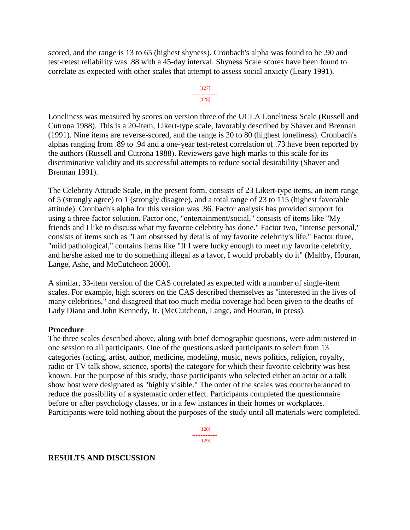scored, and the range is 13 to 65 (highest shyness). Cronbach's alpha was found to be .90 and test-retest reliability was .88 with a 45-day interval. Shyness Scale scores have been found to correlate as expected with other scales that attempt to assess social anxiety (Leary 1991).



Loneliness was measured by scores on version three of the UCLA Loneliness Scale (Russell and Cutrona 1988). This is a 20-item, Likert-type scale, favorably described by Shaver and Brennan (1991). Nine items are reverse-scored, and the range is 20 to 80 (highest loneliness). Cronbach's alphas ranging from .89 to .94 and a one-year test-retest correlation of .73 have been reported by the authors (Russell and Cutrona 1988). Reviewers gave high marks to this scale for its discriminative validity and its successful attempts to reduce social desirability (Shaver and Brennan 1991).

The Celebrity Attitude Scale, in the present form, consists of 23 Likert-type items, an item range of 5 (strongly agree) to 1 (strongly disagree), and a total range of 23 to 115 (highest favorable attitude). Cronbach's alpha for this version was .86. Factor analysis has provided support for using a three-factor solution. Factor one, "entertainment/social," consists of items like "My friends and I like to discuss what my favorite celebrity has done." Factor two, "intense personal," consists of items such as "I am obsessed by details of my favorite celebrity's life." Factor three, "mild pathological," contains items like "If I were lucky enough to meet my favorite celebrity, and he/she asked me to do something illegal as a favor, I would probably do it" (Maltby, Houran, Lange, Ashe, and McCutcheon 2000).

A similar, 33-item version of the CAS correlated as expected with a number of single-item scales. For example, high scorers on the CAS described themselves as "interested in the lives of many celebrities," and disagreed that too much media coverage had been given to the deaths of Lady Diana and John Kennedy, Jr. (McCutcheon, Lange, and Houran, in press).

### **Procedure**

The three scales described above, along with brief demographic questions, were administered in one session to all participants. One of the questions asked participants to select from 13 categories (acting, artist, author, medicine, modeling, music, news politics, religion, royalty, radio or TV talk show, science, sports) the category for which their favorite celebrity was best known. For the purpose of this study, those participants who selected either an actor or a talk show host were designated as "highly visible." The order of the scales was counterbalanced to reduce the possibility of a systematic order effect. Participants completed the questionnaire before or after psychology classes, or in a few instances in their homes or workplaces. Participants were told nothing about the purposes of the study until all materials were completed.

> [128] --------------- [129]

#### **RESULTS AND DISCUSSION**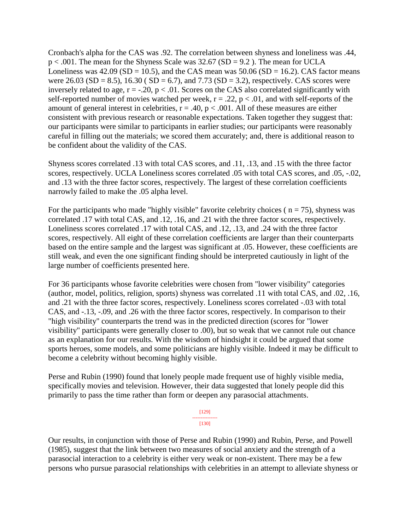Cronbach's alpha for the CAS was .92. The correlation between shyness and loneliness was .44,  $p < .001$ . The mean for the Shyness Scale was 32.67 (SD = 9.2). The mean for UCLA Loneliness was  $42.09$  (SD = 10.5), and the CAS mean was  $50.06$  (SD = 16.2). CAS factor means were  $26.03$  (SD = 8.5), 16.30 (SD = 6.7), and 7.73 (SD = 3.2), respectively. CAS scores were inversely related to age,  $r = -20$ ,  $p < 0.01$ . Scores on the CAS also correlated significantly with self-reported number of movies watched per week,  $r = .22$ ,  $p < .01$ , and with self-reports of the amount of general interest in celebrities,  $r = .40$ ,  $p < .001$ . All of these measures are either consistent with previous research or reasonable expectations. Taken together they suggest that: our participants were similar to participants in earlier studies; our participants were reasonably careful in filling out the materials; we scored them accurately; and, there is additional reason to be confident about the validity of the CAS.

Shyness scores correlated .13 with total CAS scores, and .11, .13, and .15 with the three factor scores, respectively. UCLA Loneliness scores correlated .05 with total CAS scores, and .05, -.02, and .13 with the three factor scores, respectively. The largest of these correlation coefficients narrowly failed to make the .05 alpha level.

For the participants who made "highly visible" favorite celebrity choices ( $n = 75$ ), shyness was correlated .17 with total CAS, and .12, .16, and .21 with the three factor scores, respectively. Loneliness scores correlated .17 with total CAS, and .12, .13, and .24 with the three factor scores, respectively. All eight of these correlation coefficients are larger than their counterparts based on the entire sample and the largest was significant at .05. However, these coefficients are still weak, and even the one significant finding should be interpreted cautiously in light of the large number of coefficients presented here.

For 36 participants whose favorite celebrities were chosen from "lower visibility" categories (author, model, politics, religion, sports) shyness was correlated .11 with total CAS, and .02, .16, and .21 with the three factor scores, respectively. Loneliness scores correlated -.03 with total CAS, and -.13, -.09, and .26 with the three factor scores, respectively. In comparison to their "high visibility" counterparts the trend was in the predicted direction (scores for "lower visibility" participants were generally closer to .00), but so weak that we cannot rule out chance as an explanation for our results. With the wisdom of hindsight it could be argued that some sports heroes, some models, and some politicians are highly visible. Indeed it may be difficult to become a celebrity without becoming highly visible.

Perse and Rubin (1990) found that lonely people made frequent use of highly visible media, specifically movies and television. However, their data suggested that lonely people did this primarily to pass the time rather than form or deepen any parasocial attachments.

> [129] --------------- [130]

Our results, in conjunction with those of Perse and Rubin (1990) and Rubin, Perse, and Powell (1985), suggest that the link between two measures of social anxiety and the strength of a parasocial interaction to a celebrity is either very weak or non-existent. There may be a few persons who pursue parasocial relationships with celebrities in an attempt to alleviate shyness or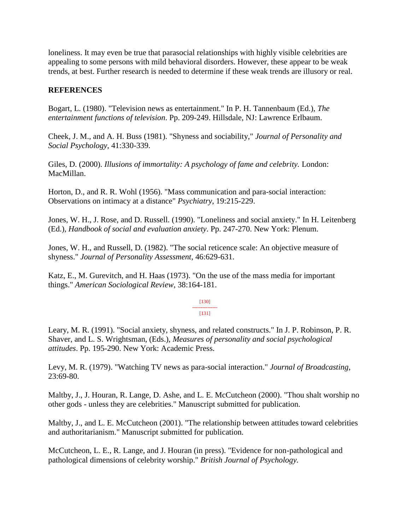loneliness. It may even be true that parasocial relationships with highly visible celebrities are appealing to some persons with mild behavioral disorders. However, these appear to be weak trends, at best. Further research is needed to determine if these weak trends are illusory or real.

# **REFERENCES**

Bogart, L. (1980). "Television news as entertainment." In P. H. Tannenbaum (Ed.), *The entertainment functions of television*. Pp. 209-249. Hillsdale, NJ: Lawrence Erlbaum.

Cheek, J. M., and A. H. Buss (1981). "Shyness and sociability," *Journal of Personality and Social Psychology*, 41:330-339.

Giles, D. (2000). *Illusions of immortality: A psychology of fame and celebrity.* London: MacMillan.

Horton, D., and R. R. Wohl (1956). "Mass communication and para-social interaction: Observations on intimacy at a distance" *Psychiatry*, 19:215-229.

Jones, W. H., J. Rose, and D. Russell. (1990). "Loneliness and social anxiety." In H. Leitenberg (Ed.), *Handbook of social and evaluation anxiety*. Pp. 247-270. New York: Plenum.

Jones, W. H., and Russell, D. (1982). "The social reticence scale: An objective measure of shyness." *Journal of Personality Assessment*, 46:629-631.

Katz, E., M. Gurevitch, and H. Haas (1973). "On the use of the mass media for important things." *American Sociological Review*, 38:164-181.

> [130] --------------- [131]

Leary, M. R. (1991). "Social anxiety, shyness, and related constructs." In J. P. Robinson, P. R. Shaver, and L. S. Wrightsman, (Eds.), *Measures of personality and social psychological attitudes*. Pp. 195-290. New York: Academic Press.

Levy, M. R. (1979). "Watching TV news as para-social interaction." *Journal of Broadcasting*, 23:69-80.

Maltby, J., J. Houran, R. Lange, D. Ashe, and L. E. McCutcheon (2000). "Thou shalt worship no other gods - unless they are celebrities." Manuscript submitted for publication.

Maltby, J., and L. E. McCutcheon (2001). "The relationship between attitudes toward celebrities and authoritarianism." Manuscript submitted for publication.

McCutcheon, L. E., R. Lange, and J. Houran (in press). "Evidence for non-pathological and pathological dimensions of celebrity worship." *British Journal of Psychology.*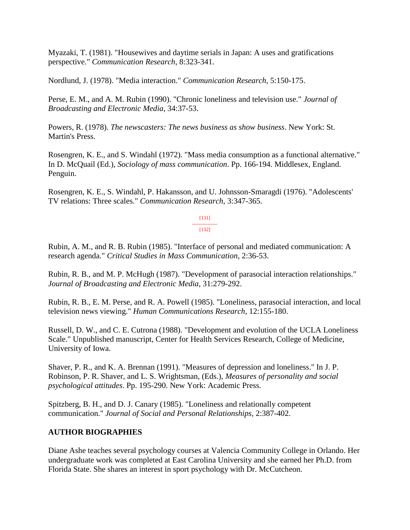Myazaki, T. (1981). "Housewives and daytime serials in Japan: A uses and gratifications perspective." *Communication Research*, 8:323-341.

Nordlund, J. (1978). "Media interaction." *Communication Research*, 5:150-175.

Perse, E. M., and A. M. Rubin (1990). "Chronic loneliness and television use." *Journal of Broadcasting and Electronic Media*, 34:37-53.

Powers, R. (1978). *The newscasters: The news business as show business*. New York: St. Martin's Press.

Rosengren, K. E., and S. Windahl (1972). "Mass media consumption as a functional alternative." In D. McQuail (Ed.), *Sociology of mass communication*. Pp. 166-194. Middlesex, England. Penguin.

Rosengren, K. E., S. Windahl, P. Hakansson, and U. Johnsson-Smaragdi (1976). "Adolescents' TV relations: Three scales." *Communication Research*, 3:347-365.

> [131] ---------------

[132]

Rubin, A. M., and R. B. Rubin (1985). "Interface of personal and mediated communication: A research agenda." *Critical Studies in Mass Communication*, 2:36-53.

Rubin, R. B., and M. P. McHugh (1987). "Development of parasocial interaction relationships." *Journal of Broadcasting and Electronic Media*, 31:279-292.

Rubin, R. B., E. M. Perse, and R. A. Powell (1985). "Loneliness, parasocial interaction, and local television news viewing." *Human Communications Research*, 12:155-180.

Russell, D. W., and C. E. Cutrona (1988). "Development and evolution of the UCLA Loneliness Scale." Unpublished manuscript, Center for Health Services Research, College of Medicine, University of Iowa.

Shaver, P. R., and K. A. Brennan (1991). "Measures of depression and loneliness." In J. P. Robinson, P. R. Shaver, and L. S. Wrightsman, (Eds.), *Measures of personality and social psychological attitudes*. Pp. 195-290. New York: Academic Press.

Spitzberg, B. H., and D. J. Canary (1985). "Loneliness and relationally competent communication." *Journal of Social and Personal Relationships*, 2:387-402.

## **AUTHOR BIOGRAPHIES**

Diane Ashe teaches several psychology courses at Valencia Community College in Orlando. Her undergraduate work was completed at East Carolina University and she earned her Ph.D. from Florida State. She shares an interest in sport psychology with Dr. McCutcheon.